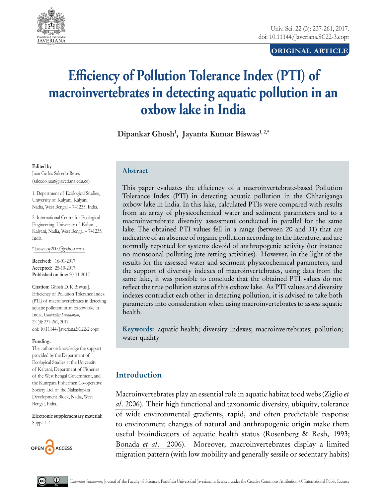<span id="page-0-0"></span>

#### **original article**

# **Efciency of Pollution Tolerance Index (PTI) of macroinvertebrates in detecting aquatic pollution in an oxbow lake in India**

**Dipankar Ghosh1 , Jayanta Kumar Biswas1, 2,\***

**Edited by** Juan Carlos Salcedo-Reyes (salcedo.juan@javeriana.edu.co)

1. Department of Ecological Studies, University of Kalyani, Kalyani, Nadia, West Bengal – 741235, India.

2. International Centre for Ecological Engineering, University of Kalyani, Kalyani, Nadia, West Bengal – 741235, India.

\* biswajoy2000@yahoo.com

**Received:** 16-01-2017 **Accepted:** 25-10-2017 **Published on line:** 20-11-2017

**Citation:** Ghosh D, K Biswas J. Efficiency of Pollution Tolerance Index (PTI) of macroinvertebrates in detecting aquatic pollution in an oxbow lake in India, *Universitas Scientiarum,* 22 (3): 237-261, 2017. doi: 10.11144/Javeriana.SC22-2.eopt

#### **Funding:**

The authors acknowledge the support provided by the Department of Ecological Studies at the University of Kalyani; Department of Fisheries of the West Bengal Government, and the Kutirpara Fishermen Co-operative Society Ltd. of the Nakashipara Development Block, Nadia, West Bengal, India.

**Electronic supplementary material:** Suppl. 1-4.



#### Abstract

This paper evaluates the efficiency of a macroinvertebrate-based Pollution Tolerance Index (PTI) in detecting aquatic pollution in the Chhariganga oxbow lake in India. In this lake, calculated PTIs were compared with results from an array of physicochemical water and sediment parameters and to a macroinvertebrate diversity assessment conducted in parallel for the same lake. The obtained PTI values fell in a range (between 20 and 31) that are indicative of an absence of organic pollution according to the literature, and are normally reported for systems devoid of anthropogenic activity (for instance no monsoonal polluting jute retting activities). However, in the light of the results for the assessed water and sediment physicochemical parameters, and the support of diversity indexes of macroinvertebrates, using data from the same lake, it was possible to conclude that the obtained PTI values do not reflect the true pollution status of this oxbow lake. As PTI values and diversity indexes contradict each other in detecting pollution, it is advised to take both parameters into consideration when using macroinvertebrates to assess aquatic health.

Keywords: aquatic health; diversity indexes; macroinvertebrates; pollution; water quality

# Introduction

Macroinvertebrates play an essential role in aquatic habitat food webs [\(Ziglio](#page-22-0) *et al*[. 2006\).](#page-22-0) Their high functional and taxonomic diversity, ubiquity, tolerance of wide environmental gradients, rapid, and often predictable response to environment changes of natural and anthropogenic origin make them useful bioindicators of aquatic health status [\(Rosenberg & Resh, 1993;](#page-21-0) Bonada *et al*[. 2006\).](#page-18-0) Moreover, macroinvertebrates display a limited migration pattern (with low mobility and generally sessile or sedentary habits)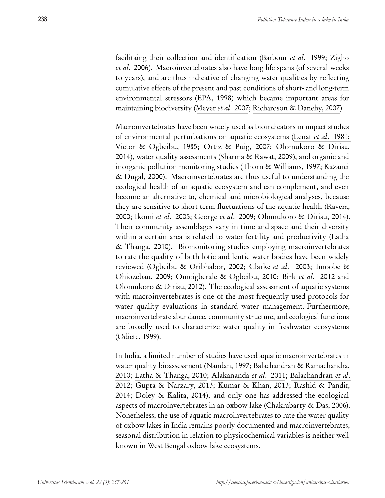<span id="page-1-0"></span>facilitaing their collection and identification [\(Barbour](#page-18-0) *et al*. 1999; [Ziglio](#page-22-0) *et al*[. 2006\).](#page-22-0) Macroinvertebrates also have long life spans (of several weeks to years), and are thus indicative of changing water qualities by reflecting cumulative effects of the present and past conditions of short- and long-term environmental stressors [\(EPA, 1998\)](#page-19-0) which became important areas for maintaining biodiversity [\(Meyer](#page-20-0) *et al*. 2007; [Richardson & Danehy, 2007\).](#page-21-0)

Macroinvertebrates have been widely used as bioindicators in impact studies of environmental perturbations on aquatic ecosystems (Lenat *et al*[. 1981;](#page-20-0) [Victor & Ogbeibu, 1985;](#page-22-0) [Ortiz & Puig, 2007; Olomukoro & Dirisu,](#page-21-0) 2014), water quality assessments [\(Sharma & Rawat, 2009\),](#page-21-0) and organic and inorganic pollution monitoring studies [\(Thorn & Williams, 1997;](#page-22-0) [Kazanci](#page-20-0) [& Dugal, 2000\).](#page-20-0) Macroinvertebrates are thus useful to understanding the ecological health of an aquatic ecosystem and can complement, and even become an alternative to, chemical and microbiological analyses, because they are sensitive to short-term fluctuations of the aquatic health [\(Ravera,](#page-21-0) [2000;](#page-21-0) Ikomi *et al*[. 2005;](#page-20-0) [George](#page-19-0) *et al*. 2009; [Olomukoro & Dirisu, 2014\).](#page-21-0) Their community assemblages vary in time and space and their diversity within a certain area is related to water fertility and productivity [\(Latha](#page-20-0) [& Thanga, 2010\).](#page-20-0) Biomonitoring studies employing macroinvertebrates to rate the quality of both lotic and lentic water bodies have been widely reviewed [\(Ogbeibu & Oribhabor, 2002;](#page-21-0) Clarke *et al*[. 2003;](#page-18-0) [Imoobe &](#page-20-0) [Ohiozebau, 2009;](#page-20-0) [Omoigberale & Ogbeibu, 2010;](#page-21-0) Birk *et al*[. 2012](#page-18-0) and [Olomukoro & Dirisu, 2012\).](#page-21-0) The ecological assessment of aquatic systems with macroinvertebrates is one of the most frequently used protocols for water quality evaluations in standard water management. Furthermore, macroinvertebrate abundance, community structure, and ecological functions are broadly used to characterize water quality in freshwater ecosystems [\(Odiete, 1999\).](#page-20-0)

In India, a limited number of studies have used aquatic macroinvertebrates in water quality bioassessment [\(Nandan, 1997;](#page-20-0) [Balachandran & Ramachandra,](#page-18-0) [2010;](#page-18-0) [Latha & Thanga, 2010;](#page-20-0) [Alakananda](#page-17-0) *et al*. 2011; [Balachandran](#page-18-0) *et al*. [2012;](#page-18-0) [Gupta & Narzary, 2013; Kumar & Khan, 2013;](#page-20-0) [Rashid & Pandit,](#page-21-0) [2014;](#page-21-0) [Doley & Kalita, 2014\),](#page-18-0) and only one has addressed the ecological aspects of macroinvertebrates in an oxbow lake [\(Chakrabarty & Das, 2006\).](#page-18-0) Nonetheless, the use of aquatic macroinvertebrates to rate the water quality of oxbow lakes in India remains poorly documented and macroinvertebrates, seasonal distribution in relation to physicochemical variables is neither well known in West Bengal oxbow lake ecosystems.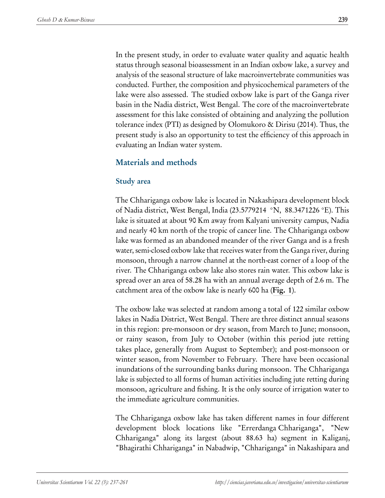In the present study, in order to evaluate water quality and aquatic health status through seasonal bioassessment in an Indian oxbow lake, a survey and analysis of the seasonal structure of lake macroinvertebrate communities was conducted. Further, the composition and physicochemical parameters of the lake were also assessed. The studied oxbow lake is part of the Ganga river basin in the Nadia district, West Bengal. The core of the macroinvertebrate assessment for this lake consisted of obtaining and analyzing the pollution tolerance index (PTI) as designed by [Olomukoro & Dirisu \(2014\).](#page-21-0) Thus, the present study is also an opportunity to test the efficiency of this approach in evaluating an Indian water system.

# Materials and methods

# Study area

The Chhariganga oxbow lake is located in Nakashipara development block of Nadia district, West Bengal, India (23.5779214 N, 88.3471226 E). This lake is situated at about 90 Km away from Kalyani university campus, Nadia and nearly 40 km north of the tropic of cancer line. The Chhariganga oxbow lake was formed as an abandoned meander of the river Ganga and is a fresh water, semi-closed oxbow lake that receives water from the Ganga river, during monsoon, through a narrow channel at the north-east corner of a loop of the river. The Chhariganga oxbow lake also stores rain water. This oxbow lake is spread over an area of 58.28 ha with an annual average depth of 2.6 m. The catchment area of the oxbow lake is nearly 600 ha ([Fig. 1](#page-3-0)).

The oxbow lake was selected at random among a total of 122 similar oxbow lakes in Nadia District, West Bengal. There are three distinct annual seasons in this region: pre-monsoon or dry season, from March to June; monsoon, or rainy season, from July to October (within this period jute retting takes place, generally from August to September); and post-monsoon or winter season, from November to February. There have been occasional inundations of the surrounding banks during monsoon. The Chhariganga lake is subjected to all forms of human activities including jute retting during monsoon, agriculture and fishing. It is the only source of irrigation water to the immediate agriculture communities.

The Chhariganga oxbow lake has taken different names in four different development block locations like "Errerdanga Chhariganga", "New Chhariganga" along its largest (about 88.63 ha) segment in Kaliganj, "Bhagirathi Chhariganga" in Nabadwip, "Chhariganga" in Nakashipara and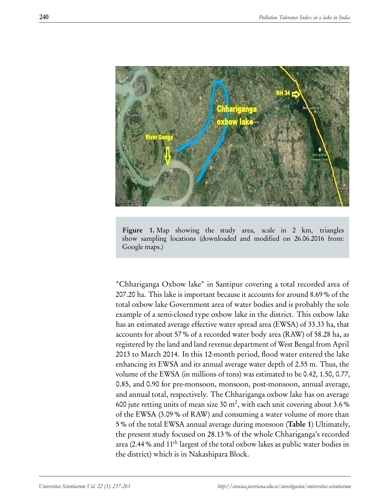<span id="page-3-0"></span>

Figure 1. Map showing the study area, scale in 2 km, triangles show sampling locations (downloaded and modified on 26.06.2016 from: Google maps.)

"Chhariganga Oxbow lake" in Santipur covering a total recorded area of 207.20 ha. This lake is important because it accounts for around 8.69 % of the total oxbow lake Government area of water bodies and is probably the sole example of a semi-closed type oxbow lake in the district. This oxbow lake has an estimated average effective water spread area (EWSA) of 33.33 ha, that accounts for about 57 % of a recorded water body area (RAW) of 58.28 ha, as registered by the land and land revenue department of West Bengal from April 2013 to March 2014. In this 12-month period, flood water entered the lake enhancing its EWSA and its annual average water depth of 2.55 m. Thus, the volume of the EWSA (in millions of tons) was estimated to be 0.42, 1.50, 0.77, 0.85, and 0.90 for pre-monsoon, monsoon, post-monsoon, annual average, and annual total, respectively. The Chhariganga oxbow lake has on average 600 jute retting units of mean size 30 m<sup>2</sup>, with each unit covering about 3.6% of the EWSA (3.09 % of RAW) and consuming a water volume of more than 5 % of the total EWSA annual average during monsoon ([Table 1](#page-21-0)) Ultimately, the present study focused on 28.13 % of the whole Chhariganga's recorded area (2.44 % and 11th largest of the total oxbow lakes as public water bodies in the district) which is in Nakashipara Block.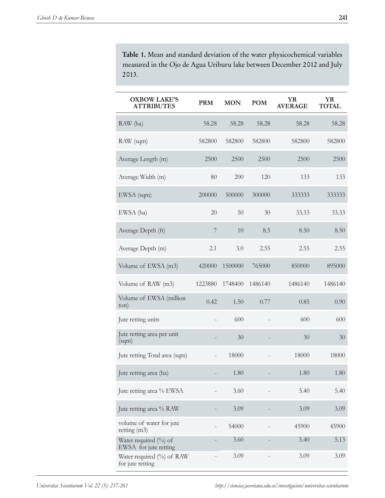<span id="page-4-0"></span>Table 1. Mean and standard deviation of the water physicochemical variables measured in the Ojo de Agua Uriburu lake between December 2 012 and July 2 013.

| <b>OXBOW LAKE'S</b><br><b>ATTRIBUTES</b>       | <b>PRM</b>     | <b>MON</b> | <b>POM</b>               | <b>YR</b><br><b>AVERAGE</b> | <b>YR</b><br><b>TOTAL</b> |
|------------------------------------------------|----------------|------------|--------------------------|-----------------------------|---------------------------|
| RAW (ha)                                       | 58.28          | 58.28      | 58.28                    | 58.28                       | 58.28                     |
| RAW (sqm)                                      | 582800         | 582800     | 582800                   | 582800                      | 582800                    |
| Average Length (m)                             | 2500           | 2500       | 2500                     | 2500                        | 2500                      |
| Average Width (m)                              | 80             | 200        | 120                      | 133                         | 133                       |
| EWSA (sqm)                                     | 200000         | 500000     | 300000                   | 333333                      | 333333                    |
| EWSA (ha)                                      | 20             | 50         | 30                       | 33.33                       | 33.33                     |
| Average Depth (ft)                             | $\overline{7}$ | 10         | 8.5                      | 8.50                        | 8.50                      |
| Average Depth (m)                              | 2.1            | 3.0        | 2.55                     | 2.55                        | 2.55                      |
| Volume of EWSA (m3)                            | 420000         | 1500000    | 765000                   | 850000                      | 895000                    |
| Volume of RAW (m3)                             | 1223880        | 1748400    | 1486140                  | 1486140                     | 1486140                   |
| Volume of EWSA (million<br>ton)                | 0.42           | 1.50       | 0.77                     | 0.85                        | 0.90                      |
| Jute retting units                             |                | 600        | $\overline{\phantom{0}}$ | 600                         | 600                       |
| Jute retting area per unit<br>(sqm)            |                | 30         |                          | 30                          | 30                        |
| Jute retting Total area (sqm)                  |                | 18000      |                          | 18000                       | 18000                     |
| Jute retting area (ha)                         |                | 1.80       |                          | 1.80                        | 1.80                      |
| Jute retting area % EWSA                       |                | 3.60       |                          | 5.40                        | 5.40                      |
| Jute retting area % RAW                        |                | 3.09       |                          | 3.09                        | 3.09                      |
| volume of water for jute<br>retting $(m3)$     |                | 54000      |                          | 45900                       | 45900                     |
| Water required (%) of<br>EWSA for jute retting |                | 3.60       |                          | 5.40                        | 5.13                      |
| Water required (%) of RAW<br>for jute retting  |                | 3.09       |                          | 3.09                        | 3.09                      |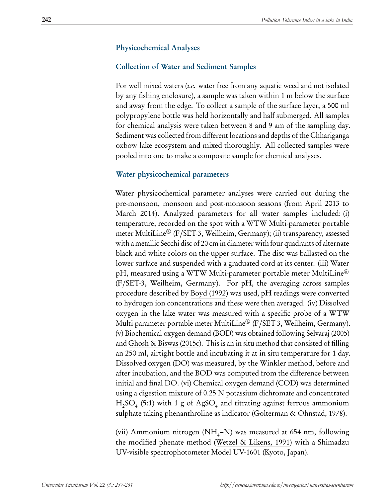## <span id="page-5-0"></span>Physicochemical Analyses

## Collection of Water and Sediment Samples

For well mixed waters (*i.e.* water free from any aquatic weed and not isolated by any fishing enclosure), a sample was taken within 1 m below the surface and away from the edge. To collect a sample of the surface layer, a 500 ml polypropylene bottle was held horizontally and half submerged. All samples for chemical analysis were taken between 8 and 9 am of the sampling day. Sediment was collected from different locations and depths of the Chhariganga oxbow lake ecosystem and mixed thoroughly. All collected samples were pooled into one to make a composite sample for chemical analyses.

## Water physicochemical parameters

Water physicochemical parameter analyses were carried out during the pre-monsoon, monsoon and post-monsoon seasons (from April 2013 to March 2014). Analyzed parameters for all water samples included: (i) temperature, recorded on the spot with a WTW Multi-parameter portable meter MultiLine<sup>®</sup> (F/SET-3, Weilheim, Germany); (ii) transparency, assessed with a metallic Secchi disc of 20 cm in diameter with four quadrants of alternate black and white colors on the upper surface. The disc was ballasted on the lower surface and suspended with a graduated cord at its center. (iii) Water pH, measured using a WTW Multi-parameter portable meter MultiLine<sup>®</sup> (F/SET-3, Weilheim, Germany). For pH, the averaging across samples procedure described by [Boyd \(1992\)](#page-18-0) was used, pH readings were converted to hydrogen ion concentrations and these were then averaged. (iv) Dissolved oxygen in the lake water was measured with a specific probe of a WTW Multi-parameter portable meter MultiLine® (F/SET-3, Weilheim, Germany). (v) Biochemical oxygen demand (BOD) was obtained following [Selvaraj \(2005\)](#page-21-0) and [Ghosh & Biswas \(2015c\).](#page-19-0) This is an in situ method that consisted of filling an 250 ml, airtight bottle and incubating it at in situ temperature for 1 day. Dissolved oxygen (DO) was measured, by the Winkler method, before and after incubation, and the BOD was computed from the difference between initial and final DO. (vi) Chemical oxygen demand (COD) was determined using a digestion mixture of 0.25 N potassium dichromate and concentrated  $H<sub>2</sub>SO<sub>4</sub>$  (5:1) with 1 g of AgSO<sub>4</sub> and titrating against ferrous ammonium sulphate taking phenanthroline as indicator [\(Golterman & Ohnstad, 1978\).](#page-19-0)

(vii) Ammonium nitrogen (NH<sub>4</sub>–N) was measured at 654 nm, following the modified phenate method [\(Wetzel & Likens, 1991\)](#page-22-0) with a Shimadzu UV-visible spectrophotometer Model UV-1601 (Kyoto, Japan).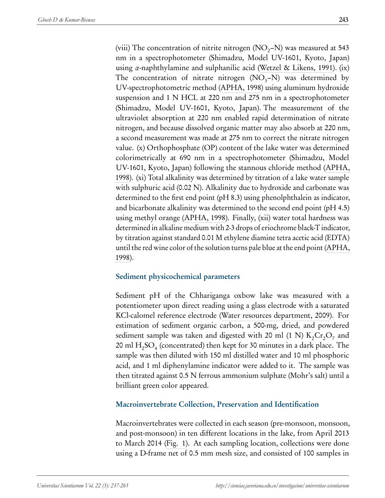<span id="page-6-0"></span>(viii) The concentration of nitrite nitrogen  $(NO<sub>2</sub>–N)$  was measured at 543 nm in a spectrophotometer (Shimadzu, Model UV-1601, Kyoto, Japan) using *↵*-naphthylamine and sulphanilic acid [\(Wetzel & Likens, 1991\).](#page-22-0) (ix) The concentration of nitrate nitrogen  $(NO<sub>3</sub>-N)$  was determined by UV-spectrophotometric method [\(APHA, 1998\)](#page-19-0) using aluminum hydroxide suspension and 1 N HCL at 220 nm and 275 nm in a spectrophotometer (Shimadzu, Model UV-1601, Kyoto, Japan). The measurement of the ultraviolet absorption at 220 nm enabled rapid determination of nitrate nitrogen, and because dissolved organic matter may also absorb at 220 nm, a second measurement was made at 275 nm to correct the nitrate nitrogen value. (x) Orthophosphate (OP) content of the lake water was determined colorimetrically at 690 nm in a spectrophotometer (Shimadzu, Model UV-1601, Kyoto, Japan) following the stannous chloride method [\(APHA,](#page-19-0) [1998\).](#page-19-0) (xi) Total alkalinity was determined by titration of a lake water sample with sulphuric acid (0.02 N). Alkalinity due to hydroxide and carbonate was determined to the first end point (pH 8.3) using phenolphthalein as indicator, and bicarbonate alkalinity was determined to the second end point (pH 4.5) using methyl orange [\(APHA, 1998\).](#page-19-0) Finally, (xii) water total hardness was determined in alkaline medium with 2-3 drops of eriochrome black-T indicator, by titration against standard 0.01 M ethylene diamine tetra acetic acid (EDTA) until the red wine color of the solution turns pale blue at the end point [\(APHA,](#page-19-0) [1998\).](#page-19-0)

# Sediment physicochemical parameters

Sediment pH of the Chhariganga oxbow lake was measured with a potentiometer upon direct reading using a glass electrode with a saturated KCl-calomel reference electrode [\(Water resources department, 2009\).](#page-22-0) For estimation of sediment organic carbon, a 500-mg, dried, and powdered sediment sample was taken and digested with 20 ml (1 N)  $K_2Cr_2O_7$  and 20 ml  $H_2SO_4$  (concentrated) then kept for 30 minutes in a dark place. The sample was then diluted with 150 ml distilled water and 10 ml phosphoric acid, and 1 ml diphenylamine indicator were added to it. The sample was then titrated against 0.5 N ferrous ammonium sulphate (Mohr's salt) until a brilliant green color appeared.

# Macroinvertebrate Collection, Preservation and Identification

Macroinvertebrates were collected in each season (pre-monsoon, monsoon, and post-monsoon) in ten different locations in the lake, from April 2013 to March 2014 [\(Fig. 1\).](#page-3-0) At each sampling location, collections were done using a D-frame net of 0.5 mm mesh size, and consisted of 100 samples in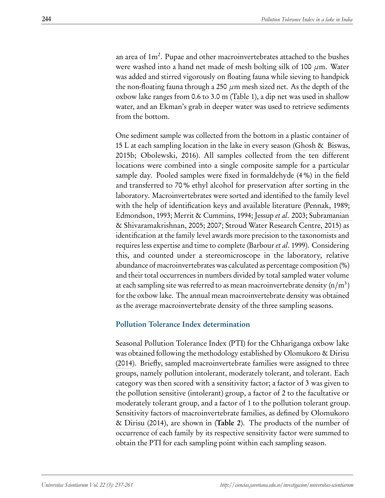<span id="page-7-0"></span>an area of 1m<sup>2</sup>. Pupae and other macroinvertebrates attached to the bushes were washed into a hand net made of mesh bolting silk of 100 *µ*m. Water was added and stirred vigorously on floating fauna while sieving to handpick the non-floating fauna through a 250 *µ*m mesh sized net. As the depth of the oxbow lake ranges from 0.6 to 3.0 m [\(Table 1\),](#page-4-0) a dip net was used in shallow water, and an Ekman's grab in deeper water was used to retrieve sediments from the bottom.

One sediment sample was collected from the bottom in a plastic container of 15 L at each sampling location in the lake in every season [\(Ghosh & Biswas,](#page-19-0) [2015b;](#page-19-0) [Obolewski, 2016\).](#page-20-0) All samples collected from the ten different locations were combined into a single composite sample for a particular sample day. Pooled samples were fixed in formaldehyde (4 %) in the field and transferred to 70 % ethyl alcohol for preservation after sorting in the laboratory. Macroinvertebrates were sorted and identified to the family level with the help of identification keys and available literature [\(Pennak, 1989;](#page-21-0) [Edmondson, 1993;](#page-18-0) [Merrit & Cummins, 1994; Jessup](#page-20-0) *et al*. 2003; [Subramanian](#page-22-0) [& Shivaramakrishnan, 2005; 2007; Stroud Water Research Centre, 2015\)](#page-22-0) as identification at the family level awards more precision to the taxonomists and requires less expertise and time to complete [\(Barbour](#page-18-0) *et al*. 1999). Considering this, and counted under a stereomicroscope in the laboratory, relative abundance of macroinvertebrates was calculated as percentage composition (%) and their total occurrences in numbers divided by total sampled water volume at each sampling site was referred to as mean macroinvertebrate density  $(n/m^3)$ for the oxbow lake. The annual mean macroinvertebrate density was obtained as the average macroinvertebrate density of the three sampling seasons.

## Pollution Tolerance Index determination

Seasonal Pollution Tolerance Index (PTI) for the Chhariganga oxbow lake was obtained following the methodology established by [Olomukoro & Dirisu](#page-21-0) [\(2014\).](#page-21-0) Briefly, sampled macroinvertebrate families were assigned to three groups, namely pollution intolerant, moderately tolerant, and tolerant. Each category was then scored with a sensitivity factor; a factor of 3 was given to the pollution sensitive (intolerant) group, a factor of 2 to the facultative or moderately tolerant group, and a factor of 1 to the pollution tolerant group. Sensitivity factors of macroinvertebrate families, as defined by [Olomukoro](#page-21-0) [& Dirisu \(2014\),](#page-21-0) are shown in ([Table 2](#page-8-0)). The products of the number of occurrence of each family by its respective sensitivity factor were summed to obtain the PTI for each sampling point within each sampling season.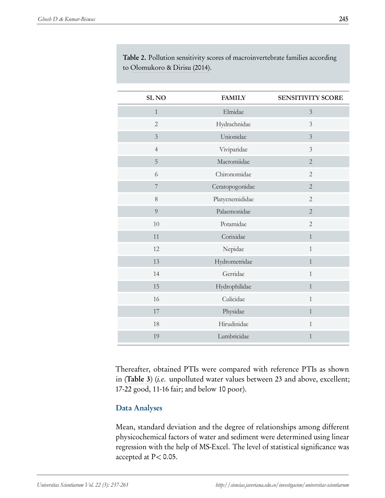| <b>SLNO</b>    | <b>FAMILY</b>   | <b>SENSITIVITY SCORE</b> |
|----------------|-----------------|--------------------------|
| $\mathbf{1}$   | Elmidae         | $\mathfrak{Z}$           |
| $\overline{2}$ | Hydrachnidae    | $\mathfrak{Z}$           |
| $\overline{3}$ | Unionidae       | $\overline{3}$           |
| $\overline{4}$ | Viviparidae     | $\overline{3}$           |
| 5              | Macromiidae     | $\overline{2}$           |
| 6              | Chironomidae    | $\overline{2}$           |
| $\overline{7}$ | Ceratopogonidae | $\overline{2}$           |
| $8\,$          | Platycnemididae | $\sqrt{2}$               |
| 9              | Palaemonidae    | $\overline{2}$           |
| 10             | Potamidae       | $\overline{2}$           |
| 11             | Corixidae       | $\mathbf{1}$             |
| 12             | Nepidae         | $\mathbf{1}$             |
| 13             | Hydrometridae   | $\mathbf{1}$             |
| 14             | Gerridae        | $\mathbf{1}$             |
| 15             | Hydrophilidae   | $\,1$                    |
| 16             | Culicidae       | $\mathbf{1}$             |
| 17             | Physidae        | $\mathbf{1}$             |
| 18             | Hirudinidae     | $\,1$                    |
| 19             | Lumbricidae     | $\mathbf{1}$             |

<span id="page-8-0"></span>Table 2. Pollution sensitivity scores of macroinvertebrate families according to [Olomukoro](#page-21-0) & Dirisu (2014).

Thereafter, obtained PTIs were compared with reference PTIs as shown in ([Table 3](#page-9-0)) (*i.e*. unpolluted water values between 23 and above, excellent; 17-22 good, 11-16 fair; and below 10 poor).

# Data Analyses

Mean, standard deviation and the degree of relationships among different physicochemical factors of water and sediment were determined using linear regression with the help of MS-Excel. The level of statistical significance was accepted at P*<* 0.05.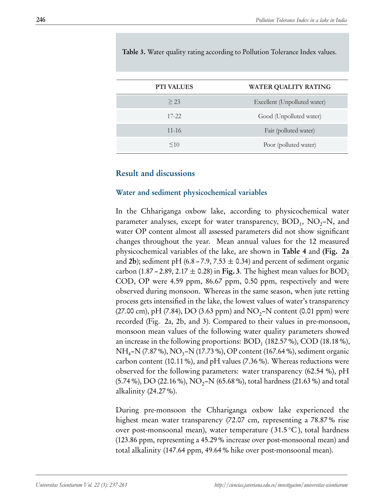<span id="page-9-0"></span>Table 3. Water quality rating according to Pollution Tolerance Index values.

| <b>PTI VALUES</b> | <b>WATER QUALITY RATING</b>  |
|-------------------|------------------------------|
| > 23              | Excellent (Unpolluted water) |
| $17 - 22$         | Good (Unpolluted water)      |
| $11 - 16$         | Fair (polluted water)        |
| $\leq 10$         | Poor (polluted water)        |

## Result and discussions

#### Water and sediment physicochemical variables

In the Chhariganga oxbow lake, according to physicochemical water parameter analyses, except for water transparency,  $BOD_1$ ,  $NO_2-N$ , and water OP content almost all assessed parameters did not show significant changes throughout the year. Mean annual values for the 12 measured physicochemical variables of the lake, are shown in [Table 4](#page-11-0) and [\(Fig. 2a](#page-10-0) and [2b](#page-10-0)); sediment pH  $(6.8 - 7.9, 7.53 \pm 0.34)$  and percent of sediment organic carbon (1.87 – 2.89, 2.17  $\pm$  0.28) in [Fig. 3](#page-12-0). The highest mean values for BOD<sub>1</sub> COD, OP were 4.59 ppm, 86.67 ppm, 0.50 ppm, respectively and were observed during monsoon. Whereas in the same season, when jute retting process gets intensified in the lake, the lowest values of water's transparency (27.00 cm), pH (7.84), DO (3.63 ppm) and  $NO<sub>2</sub>–N$  content (0.01 ppm) were recorded [\(Fig. 2a, 2b,](#page-10-0) and [3\).](#page-12-0) Compared to their values in pre-monsoon, monsoon mean values of the following water quality parameters showed an increase in the following proportions:  $BOD_1$  (182.57%), COD (18.18%),  $NH_4$ –N (7.87 %), NO<sub>3</sub>–N (17.73 %), OP content (167.64 %), sediment organic carbon content (10.11 %), and pH values (7.36 %). Whereas reductions were observed for the following parameters: water transparency (62.54 %), pH  $(5.74\%), \text{DO } (22.16\%), \text{NO}_2-\text{N } (65.68\%),$  total hardness (21.63 %) and total alkalinity (24.27 %).

During pre-monsoon the Chhariganga oxbow lake experienced the highest mean water transparency (72.07 cm, representing a 78.87 % rise over post-monsoonal mean), water temperature ( 31.5 C ), total hardness (123.86 ppm, representing a 45.29 % increase over post-monsoonal mean) and total alkalinity (147.64 ppm, 49.64 % hike over post-monsoonal mean).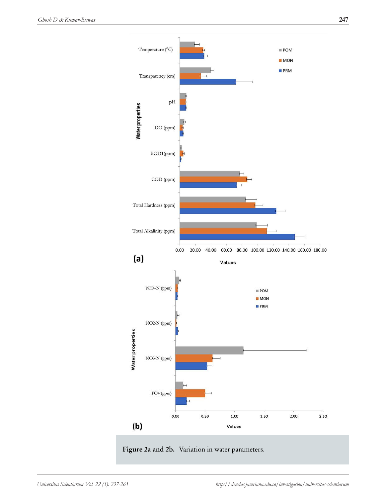<span id="page-10-0"></span>

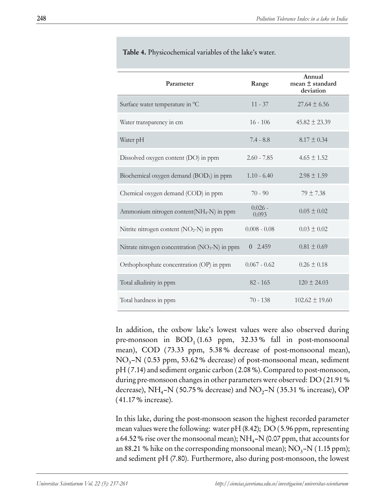| Parameter                                            | Range              | Annual<br>mean ± standard<br>deviation |
|------------------------------------------------------|--------------------|----------------------------------------|
| Surface water temperature in °C                      | $11 - 37$          | $27.64 \pm 6.56$                       |
| Water transparency in cm                             | $16 - 106$         | $45.82 \pm 23.39$                      |
| Water pH                                             | $7.4 - 8.8$        | $8.17 \pm 0.34$                        |
| Dissolved oxygen content (DO) in ppm                 | $2.60 - 7.85$      | $4.65 \pm 1.52$                        |
| Biochemical oxygen demand $(BOD1)$ in ppm            | $1.10 - 6.40$      | $2.98 \pm 1.59$                        |
| Chemical oxygen demand (COD) in ppm                  | $70 - 90$          | $79 \pm 7.38$                          |
| Ammonium nitrogen content(NH <sub>4</sub> -N) in ppm | $0.026 -$<br>0.093 | $0.05 \pm 0.02$                        |
| Nitrite nitrogen content $(NO2-N)$ in ppm            | $0.008 - 0.08$     | $0.03 \pm 0.02$                        |
| Nitrate nitrogen concentration $(NO3-N)$ in ppm      | $0$ 2.459          | $0.81 \pm 0.69$                        |
| Orthophosphate concentration (OP) in ppm             | $0.067 - 0.62$     | $0.26 \pm 0.18$                        |
| Total alkalinity in ppm                              | $82 - 165$         | $120 \pm 24.03$                        |
| Total hardness in ppm                                | $70 - 138$         | $102.62 \pm 19.60$                     |

#### <span id="page-11-0"></span>Table 4. Physicochemical variables of the lake's water.

In addition, the oxbow lake's lowest values were also observed during pre-monsoon in  $BOD_1 (1.63 ppm, 32.33 % fall in post-monsoonal)$ mean), COD (73.33 ppm, 5.38% decrease of post-monsoonal mean),  $NO<sub>3</sub>-N$  (0.53 ppm, 53.62% decrease) of post-monsoonal mean, sediment pH ( 7.14) and sediment organic carbon ( 2.08 %). Compared to post-monsoon, during pre-monsoon changes in other parameters were observed: DO ( 21.91 % decrease), NH<sub>4</sub>-N (50.75 % decrease) and NO<sub>2</sub>-N (35.31 % increase), OP ( 41.17 % increase).

In this lake, during the post-monsoon season the highest recorded parameter mean values were the following: water pH (8.42); DO ( 5.96 ppm, representing a 64.52% rise over the monsoonal mean);  $NH<sub>4</sub>-N$  (0.07 ppm, that accounts for an 88.21 % hike on the corresponding monsoonal mean);  $NO<sub>3</sub>–N$  (1.15 ppm); and sediment pH (7.80). Furthermore, also during post-monsoon, the lowest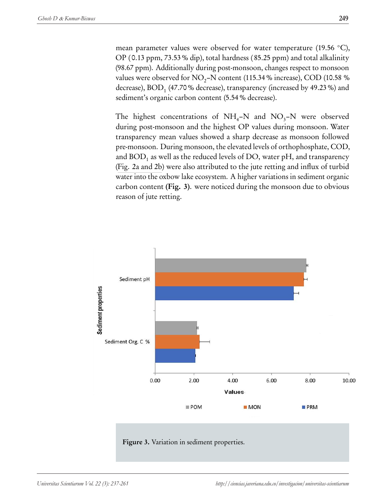<span id="page-12-0"></span>mean parameter values were observed for water temperature (19.56 C), OP ( 0.13 ppm, 73.53 % dip), total hardness ( 85.25 ppm) and total alkalinity (98.67 ppm). Additionally during post-monsoon, changes respect to monsoon values were observed for  $NO<sub>2</sub>–N$  content (115.34 % increase), COD (10.58 % decrease),  $BOD_1$  (47.70 % decrease), transparency (increased by 49.23 %) and sediment's organic carbon content (5.54 % decrease).

The highest concentrations of  $NH_4-N$  and  $NO_3-N$  were observed during post-monsoon and the highest OP values during monsoon. Water transparency mean values showed a sharp decrease as monsoon followed pre-monsoon. During monsoon, the elevated levels of orthophosphate, COD, and  $BOD<sub>1</sub>$  as well as the reduced levels of DO, water pH, and transparency [\(Fig. 2a and 2b\)](#page-10-0) were also attributed to the jute retting and influx of turbid water into the oxbow lake ecosystem. A higher variations in sediment organic carbon content (Fig. 3). were noticed during the monsoon due to obvious reason of jute retting.



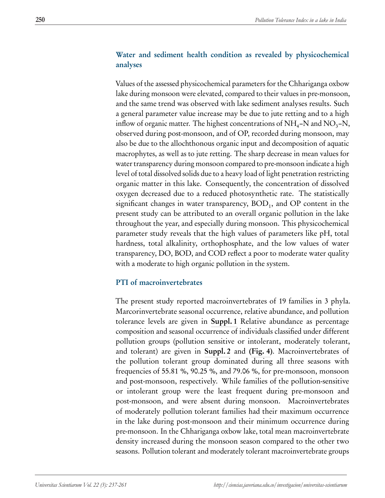## Water and sediment health condition as revealed by physicochemical analyses

Values of the assessed physicochemical parameters for the Chhariganga oxbow lake during monsoon were elevated, compared to their values in pre-monsoon, and the same trend was observed with lake sediment analyses results. Such a general parameter value increase may be due to jute retting and to a high inflow of organic matter. The highest concentrations of  $NH_4$ –N and  $NO_3$ –N, observed during post-monsoon, and of OP, recorded during monsoon, may also be due to the allochthonous organic input and decomposition of aquatic macrophytes, as well as to jute retting. The sharp decrease in mean values for water transparency during monsoon compared to pre-monsoon indicate a high level of total dissolved solids due to a heavy load of light penetration restricting organic matter in this lake. Consequently, the concentration of dissolved oxygen decreased due to a reduced photosynthetic rate. The statistically significant changes in water transparency,  $BOD<sub>1</sub>$ , and  $OP$  content in the present study can be attributed to an overall organic pollution in the lake throughout the year, and especially during monsoon. This physicochemical parameter study reveals that the high values of parameters like pH, total hardness, total alkalinity, orthophosphate, and the low values of water transparency, DO, BOD, and COD reflect a poor to moderate water quality with a moderate to high organic pollution in the system.

#### PTI of macroinvertebrates

The present study reported macroinvertebrates of 19 families in 3 phyla. Marcorinvertebrate seasonal occurrence, relative abundance, and pollution tolerance levels are given in Suppl. 1 Relative abundance as percentage composition and seasonal occurrence of individuals classified under different pollution groups (pollution sensitive or intolerant, moderately tolerant, and tolerant) are given in Suppl. 2 and [\(Fig. 4\)](#page-14-0). Macroinvertebrates of the pollution tolerant group dominated during all three seasons with frequencies of 55.81 %, 90.25 %, and 79.06 %, for pre-monsoon, monsoon and post-monsoon, respectively. While families of the pollution-sensitive or intolerant group were the least frequent during pre-monsoon and post-monsoon, and were absent during monsoon. Macroinvertebrates of moderately pollution tolerant families had their maximum occurrence in the lake during post-monsoon and their minimum occurrence during pre-monsoon. In the Chhariganga oxbow lake, total mean macroinvertebrate density increased during the monsoon season compared to the other two seasons. Pollution tolerant and moderately tolerant macroinvertebrate groups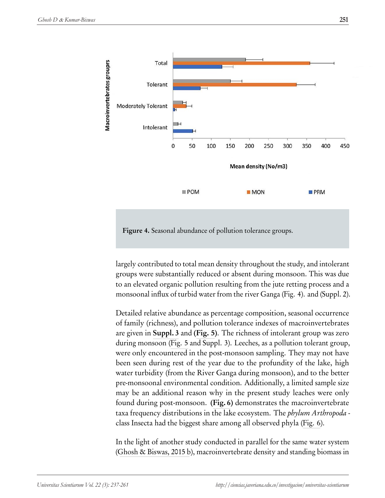<span id="page-14-0"></span>

largely contributed to total mean density throughout the study, and intolerant

groups were substantially reduced or absent during monsoon. This was due to an elevated organic pollution resulting from the jute retting process and a monsoonal influx of turbid water from the river Ganga (Fig. 4). and (Suppl. 2).

Detailed relative abundance as percentage composition, seasonal occurrence of family (richness), and pollution tolerance indexes of macroinvertebrates are given in Suppl. 3 and [\(Fig. 5\)](#page-15-0). The richness of intolerant group was zero during monsoon [\(Fig. 5](#page-10-0) and Suppl. 3). Leeches, as a pollution tolerant group, were only encountered in the post-monsoon sampling. They may not have been seen during rest of the year due to the profundity of the lake, high water turbidity (from the River Ganga during monsoon), and to the better pre-monsoonal environmental condition. Additionally, a limited sample size may be an additional reason why in the present study leaches were only found during post-monsoon. [\(Fig. 6\)](#page-16-0) demonstrates the macroinvertebrate taxa frequency distributions in the lake ecosystem. The *phylum Arthropoda* class Insecta had the biggest share among all observed phyla [\(Fig. 6\).](#page-16-0)

In the light of another study conducted in parallel for the same water system [\(Ghosh & Biswas, 2015 b\),](#page-19-0) macroinvertebrate density and standing biomass in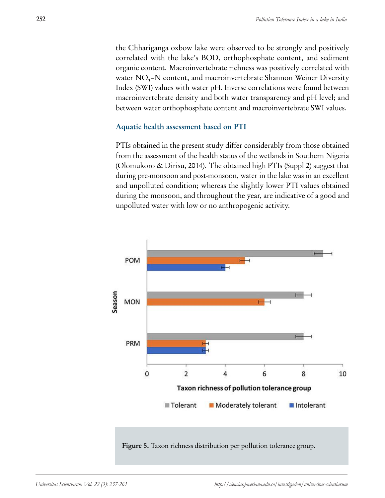<span id="page-15-0"></span>the Chhariganga oxbow lake were observed to be strongly and positively correlated with the lake's BOD, orthophosphate content, and sediment organic content. Macroinvertebrate richness was positively correlated with water  $NO<sub>3</sub>-N$  content, and macroinvertebrate Shannon Weiner Diversity Index (SWI) values with water pH. Inverse correlations were found between macroinvertebrate density and both water transparency and pH level; and between water orthophosphate content and macroinvertebrate SWI values.

#### Aquatic health assessment based on PTI

PTIs obtained in the present study differ considerably from those obtained from the assessment of the health status of the wetlands in Southern Nigeria [\(Olomukoro & Dirisu, 2014\).](#page-21-0) The obtained high PTIs (Suppl 2) suggest that during pre-monsoon and post-monsoon, water in the lake was in an excellent and unpolluted condition; whereas the slightly lower PTI values obtained during the monsoon, and throughout the year, are indicative of a good and unpolluted water with low or no anthropogenic activity.



Figure 5. Taxon richness distribution per pollution tolerance group.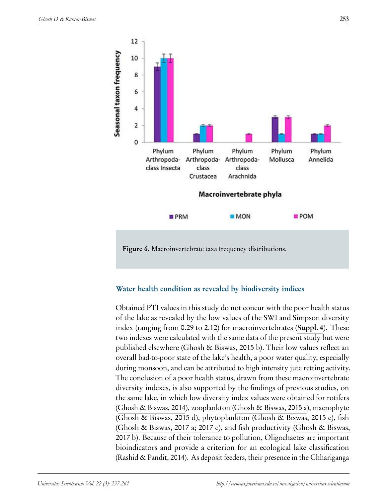<span id="page-16-1"></span><span id="page-16-0"></span>

## Water health condition as revealed by biodiversity indices

Obtained PTI values in this study do not concur with the poor health status of the lake as revealed by the low values of the SWI and Simpson diversity index (ranging from 0.29 to 2.12) for macroinvertebrates (Suppl. 4). These two indexes were calculated with the same data of the present study but were published elsewhere [\(Ghosh & Biswas, 2015 b\).](#page-19-0) Their low values reflect an overall bad-to-poor state of the lake's health, a poor water quality, especially during monsoon, and can be attributed to high intensity jute retting activity. The conclusion of a poor health status, drawn from these macroinvertebrate diversity indexes, is also supported by the findings of previous studies, on the same lake, in which low diversity index values were obtained for rotifers [\(Ghosh & Biswas, 2014\),](#page-19-0) zooplankton [\(Ghosh & Biswas, 2015 a\),](#page-19-0) macrophyte [\(Ghosh & Biswas, 2015 d\),](#page-19-0) phytoplankton [\(Ghosh & Biswas, 2015 e\),](#page-19-0) fish [\(Ghosh & Biswas, 2017 a; 2017 c\),](#page-19-0) and fish productivity [\(Ghosh & Biswas,](#page-19-0) [2017 b\).](#page-19-0) Because of their tolerance to pollution, Oligochaetes are important bioindicators and provide a criterion for an ecological lake classification [\(Rashid & Pandit, 2014\).](#page-21-0) As deposit feeders, their presence in the Chhariganga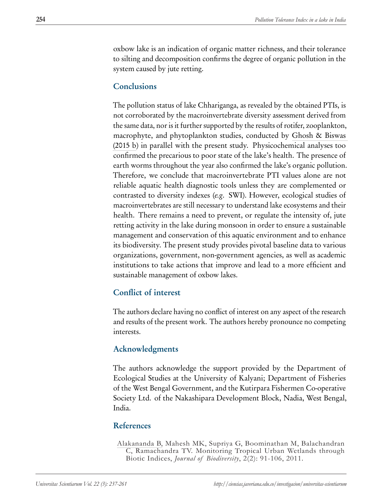<span id="page-17-0"></span>oxbow lake is an indication of organic matter richness, and their tolerance to silting and decomposition confirms the degree of organic pollution in the system caused by jute retting.

## **Conclusions**

The pollution status of lake Chhariganga, as revealed by the obtained PTIs, is not corroborated by the macroinvertebrate diversity assessment derived from the same data, nor is it further supported by the results of rotifer, zooplankton, macrophyte, and phytoplankton studies, conducted by [Ghosh & Biswas](#page-19-1) [\(2015 b\)](#page-19-1) in parallel with the present study. Physicochemical analyses too confirmed the precarious to poor state of the lake's health. The presence of earth worms throughout the year also confirmed the lake's organic pollution. Therefore, we conclude that macroinvertebrate PTI values alone are not reliable aquatic health diagnostic tools unless they are complemented or contrasted to diversity indexes (*e.g*. SWI). However, ecological studies of macroinvertebrates are still necessary to understand lake ecosystems and their health. There remains a need to prevent, or regulate the intensity of, jute retting activity in the lake during monsoon in order to ensure a sustainable management and conservation of this aquatic environment and to enhance its biodiversity. The present study provides pivotal baseline data to various organizations, government, non-government agencies, as well as academic institutions to take actions that improve and lead to a more efficient and sustainable management of oxbow lakes.

## Conflict of interest

The authors declare having no conflict of interest on any aspect of the research and results of the present work. The authors hereby pronounce no competing interests.

# Acknowledgments

The authors acknowledge the support provided by the Department of Ecological Studies at the University of Kalyani; Department of Fisheries of the West Bengal Government, and the Kutirpara Fishermen Co-operative Society Ltd. of the Nakashipara Development Block, Nadia, West Bengal, India.

## **References**

[Alakananda B,](#page-1-0) Mahesh MK, Supriya G, Boominathan M, Balachandran C, Ramachandra TV. Monitoring Tropical Urban Wetlands through Biotic Indices, *Journal of Biodiversity*, 2(2): 91-106, 2011.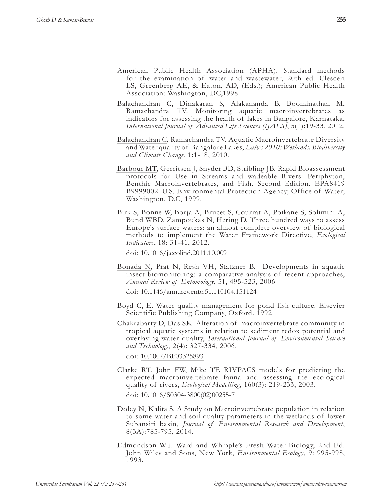- <span id="page-18-1"></span><span id="page-18-0"></span>[American Public Health Association \(APHA\).](#page-6-0) Standard methods for the examination of water and wastewater, 20th ed. Clesceri LS, Greenberg AE, & Eaton, AD, (Eds.); American Public Health Association: Washington, DC,1998.
- [Balachandran C,](#page-1-0) Dinakaran S, Alakananda B, Boominathan M, Ramachandra TV. Monitoring aquatic macroinvertebrates as indicators for assessing the health of lakes in Bangalore, Karnataka, *International Journal of Advanced Life Sciences (IJALS)*, 5(1):19-33, 2012.
- [Balachandran C,](#page-1-0) Ramachandra TV. Aquatic Macroinvertebrate Diversity and Water quality of Bangalore Lakes, *Lakes 2010: Wetlands, Biodiversity and Climate Change*, 1:1-18, 2010.
- [Barbour MT,](#page-1-0) Gerritsen J, Snyder BD, Stribling JB. Rapid Bioassessment protocols for Use in Streams and wadeable Rivers: Periphyton, Benthic Macroinvertebrates, and Fish. Second Edition. EPA8419 B9999002. U.S. Environmental Protection Agency; Office of Water; Washington, D.C, 1999.
- [Birk S,](#page-1-0) Bonne W, Borja A, Brucet S, Courrat A, Poikane S, Solimini A, Bund WBD, Zampoukas N, Hering D. Three hundred ways to assess Europe's surface waters: an almost complete overview of biological methods to implement the Water Framework Directive, *Ecological Indicators*, 18: 31-41, 2012.

doi: [10.1016/j.ecolind.2011.10.009](http://doi.org/10.1016/j.ecolind.2011.10.009)

[Bonada N,](#page-0-0) Prat N, Resh VH, Statzner B. Developments in aquatic insect biomonitoring: a comparative analysis of recent approaches, *Annual Review of Entomology*, 51, 495-523, 2006

doi: [10.1146/annurev.ento.51.110104.151124](http://doi.org/10.1146/annurev.ento.51.110104.151124)

- [Boyd C,](#page-5-0) E. Water quality management for pond fish culture. Elsevier Scientific Publishing Company, Oxford. 1992
- [Chakrabarty D,](#page-1-0) Das SK. Alteration of macroinvertebrate community in tropical aquatic systems in relation to sediment redox potential and overlaying water quality, *International Journal of Environmental Science and Technology*, 2(4): 327-334, 2006.

doi: [10.1007/BF03325893](http://doi.org/10.1007/BF03325893)

[Clarke RT,](#page-1-0) John FW, Mike TF. RIVPACS models for predicting the expected macroinvertebrate fauna and assessing the ecological quality of rivers, *Ecological Modelling*, 160(3): 219-233, 2003.

doi: [10.1016/S0304-3800\(02\)00255-7](http://doi.org/10.1016/S0304-3800(02)00255-7)

- [Doley N,](#page-1-0) Kalita S. A Study on Macroinvertebrate population in relation to some water and soil quality parameters in the wetlands of lower Subansiri basin, *Journal of Environmental Research and Development*, 8(3A):785-795, 2014.
- [Edmondson WT.](#page-1-0) Ward and Whipple's Fresh Water Biology, 2nd Ed. John Wiley and Sons, New York, *Environmental Ecology*, 9: 995-998, 1993.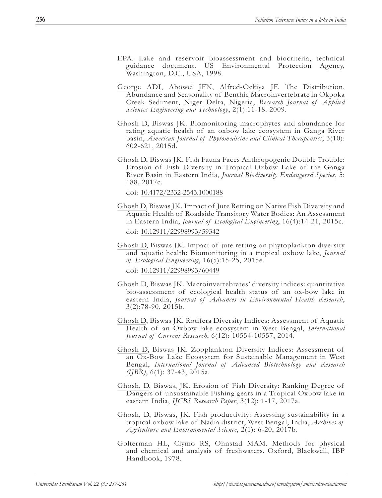- <span id="page-19-1"></span><span id="page-19-0"></span>[EPA.](#page-1-0) Lake and reservoir bioassessment and biocriteria, technical guidance document. US Environmental Protection Agency, Washington, D.C., USA, 1998.
- [George ADI,](#page-1-0) Abowei JFN, Alfred-Ockiya JF. The Distribution, Abundance and Seasonality of Benthic Macroinvertebrate in Okpoka Creek Sediment, Niger Delta, Nigeria, *Research Journal of Applied Sciences Engineering and Technology*, 2(1):11-18. 2009.
- [Ghosh D,](#page-16-1) Biswas JK. Biomonitoring macrophytes and abundance for rating aquatic health of an oxbow lake ecosystem in Ganga River basin, *American Journal of Phytomedicine and Clinical Therapeutics*, 3(10): 602-621, 2015d.
- [Ghosh D,](#page-16-1) Biswas JK. Fish Fauna Faces Anthropogenic Double Trouble: Erosion of Fish Diversity in Tropical Oxbow Lake of the Ganga River Basin in Eastern India, *Journal Biodiversity Endangered Species*, 5: 188. 2017c.

doi: [10.4172/2332-2543.1000188](http://doi.org/10.4172/2332-2543.1000188)

- [Ghosh D,](#page-5-0) Biswas JK. Impact of Jute Retting on Native Fish Diversity and Aquatic Health of Roadside Transitory Water Bodies: An Assessment in Eastern India, *Journal of Ecological Engineering*, 16(4):14-21, 2015c. doi: [10.12911/22998993/59342](http://doi.org/10.12911/22998993/59342)
- [Ghosh D,](#page-16-1) Biswas JK. Impact of jute retting on phytoplankton diversity and aquatic health: Biomonitoring in a tropical oxbow lake, *Journal of Ecological Engineering*, 16(5):15-25, 2015e.

doi: [10.12911/22998993/60449](http://doi.org/10.12911/22998993/60449)

- [Ghosh D,](#page-7-0) Biswas JK. Macroinvertebrates' diversity indices: quantitative bio-assessment of ecological health status of an ox-bow lake in eastern India, *Journal of Advances in Environmental Health Research*, 3(2):78-90, 2015b.
- [Ghosh D,](#page-16-1) Biswas JK. Rotifera Diversity Indices: Assessment of Aquatic Health of an Oxbow lake ecosystem in West Bengal, *International Journal of Current Research*, 6(12): 10554-10557, 2014.
- [Ghosh D,](#page-16-1) Biswas JK. Zooplankton Diversity Indices: Assessment of an Ox-Bow Lake Ecosystem for Sustainable Management in West Bengal, *International Journal of Advanced Biotechnology and Research (IJBR)*, 6(1): 37-43, 2015a.
- [Ghosh, D,](#page-16-1) Biswas, JK. Erosion of Fish Diversity: Ranking Degree of Dangers of unsustainable Fishing gears in a Tropical Oxbow lake in eastern India, *IJCBS Research Paper*, 3(12): 1-17, 2017a.
- [Ghosh, D,](#page-18-1) Biswas, JK. Fish productivity: Assessing sustainability in a tropical oxbow lake of Nadia district, West Bengal, India, *Archives of Agriculture and Environmental Science*, 2(1): 6-20, 2017b.
- [Golterman HL,](#page-5-0) Clymo RS, Ohnstad MAM. Methods for physical and chemical and analysis of freshwaters. Oxford, Blackwell, IBP Handbook, 1978.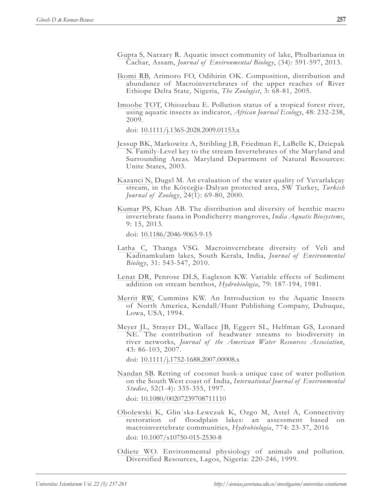- <span id="page-20-0"></span>[Gupta S,](#page-1-0) Narzary R. Aquatic insect community of lake, Phulbarianua in Cachar, Assam, *Journal of Environmental Biology*, (34): 591-597, 2013.
- [Ikomi RB,](#page-1-0) Arimoro FO, Odihirin OK. Composition, distribution and abundance of Macroinvertebrates of the upper reaches of River Ethiope Delta State, Nigeria, *The Zoologist*, 3: 68-81, 2005.
- [Imoobe TOT,](#page-1-0) Ohiozebau E. Pollution status of a tropical forest river, using aquatic insects as indicator, *African Journal Ecology*, 48: 232-238, 2009.

doi: [10.1111/j.1365-2028.2009.01153.x](http://doi.org/10.1111/j.1365-2028.2009.01153.x)

- [Jessup BK,](#page-7-0) Markowitz A, Stribling J.B, Friedman E, LaBelle K, Dziepak N. Family-Level key to the stream Invertebrates of the Maryland and Surrounding Areas. Maryland Department of Natural Resources: Unite States, 2003.
- [Kazanci N,](#page-1-0) Dugel M. An evaluation of the water quality of Yuvarlakçay stream, in the Köyceğiz-Dalyan protected area, SW Turkey, *Turkish Journal of Zoology*, 24(1): 69-80, 2000.
- [Kumar PS,](#page-1-0) Khan AB. The distribution and diversity of benthic macro invertebrate fauna in Pondicherry mangroves, *India Aquatic Biosystems*, 9: 15, 2013.

doi: [10.1186/2046-9063-9-15](http://doi.org/10.1186/2046-9063-9-15)

- [Latha C,](#page-1-0) Thanga VSG. Macroinvertebrate diversity of Veli and Kadinamkulam lakes, South Kerala, India, *Journal of Environmental Biology*, 31: 543-547, 2010.
- [Lenat DR,](#page-1-0) Penrose DLS, Eagleson KW. Variable effects of Sediment addition on stream benthos, *Hydrobiologia*, 79: 187-194, 1981.
- [Merrit RW,](#page-7-0) Cummins KW. An Introduction to the Aquatic Insects of North America, Kendall/Hunt Publishing Company, Dubuque, Lowa, USA, 1994.
- [Meyer JL,](#page-1-0) Strayer DL, Wallace JB, Eggert SL, Helfman GS, Leonard NE. The contribution of headwater streams to biodiversity in river networks, *Journal of the American Water Resources Association*, 43: 86-103, 2007.

doi: [10.1111/j.1752-1688.2007.00008.x](http://doi.org/10.1111/j.1752-1688.2007.00008.x)

- [Nandan SB.](#page-1-0) Retting of coconut husk-a unique case of water pollution on the South West coast of India, *International Journal of Environmental Studies*, 52(1-4): 335-355, 1997. doi: [10.1080/00207239708711110](http://doi.org/10.1080/00207239708711110)
- [Obolewski K,](#page-7-0) Glin´ska-Lewczuk K, Ozgo M, Astel A, Connectivity restoration of floodplain lakes: an assessment based on macroinvertebrate communities, *Hydrobiologia*, 774: 23-37, 2016 doi: [10.1007/s10750-015-2530-8](http://doi.org/10.1007/s10750-015-2530-8)
- [Odiete WO.](#page-1-0) Environmental physiology of animals and pollution. Diversified Resources, Lagos, Nigeria: 220-246, 1999.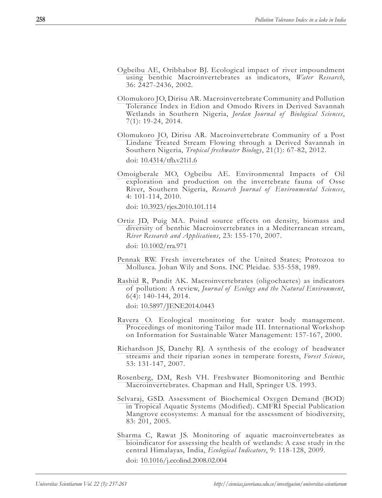- <span id="page-21-0"></span>[Ogbeibu AE,](#page-1-0) Oribhabor BJ. Ecological impact of river impoundment using benthic Macroinvertebrates as indicators, *Water Research*, 36: 2427-2436, 2002.
- [Olomukoro JO,](#page-1-0) Dirisu AR. Macroinvertebrate Community and Pollution Tolerance Index in Edion and Omodo Rivers in Derived Savannah Wetlands in Southern Nigeria, *Jordan Journal of Biological Sciences*, 7(1): 19-24, 2014.
- [Olomukoro JO,](#page-1-0) Dirisu AR. Macroinvertebrate Community of a Post Lindane Treated Stream Flowing through a Derived Savannah in Southern Nigeria, *Tropical freshwater Biology*, 21(1): 67-82, 2012.

doi: [10.4314/tfb.v21i1.6](http://doi.org/10.4314/tfb.v21i1.6)

[Omoigberale MO,](#page-1-0) Ogbeibu AE. Environmental Impacts of Oil exploration and production on the invertebrate fauna of Osse River, Southern Nigeria, *Research Journal of Environmental Sciences*, 4: 101-114, 2010.

doi: [10.3923/rjes.2010.101.114](http://doi.org/10.3923/rjes.2010.101.114)

- [Ortiz JD,](#page-1-0) Puig MA. Poind source effects on density, biomass and diversity of benthic Macroinvertebrates in a Mediterranean stream, *River Research and Applications*, 23: 155-170, 2007. doi: [10.1002/rra.971](http://doi.org/10.1002/rra.971)
- [Pennak RW.](#page-7-0) Fresh invertebrates of the United States; Protozoa to Mollusca. Johan Wily and Sons. INC Pleidae. 535-558, 1989.
- [Rashid R,](#page-1-0) Pandit AK. Macroinvertebrates (oligochaetes) as indicators of pollution: A review, *Journal of Ecology and the Natural Environment*, 6(4): 140-144, 2014.

doi: [10.5897/JENE2014.0443](http://doi.org/10.5897/JENE2014.0443)

- [Ravera O.](#page-1-0) Ecological monitoring for water body management. Proceedings of monitoring Tailor made III. International Workshop on Information for Sustainable Water Management: 157-167, 2000.
- [Richardson JS,](#page-1-0) Danehy RJ. A synthesis of the ecology of headwater streams and their riparian zones in temperate forests, *Forest Science*, 53: 131-147, 2007.
- [Rosenberg, DM,](#page-0-0) Resh VH. Freshwater Biomonitoring and Benthic Macroinvertebrates. Chapman and Hall, Springer US. 1993.
- [Selvaraj, GSD.](#page-5-0) Assessment of Biochemical Oxygen Demand (BOD) in Tropical Aquatic Systems (Modified). CMFRI Special Publication Mangrove ecosystems: A manual for the assessment of biodiversity, 83: 201, 2005.
- [Sharma C,](#page-1-0) Rawat JS. Monitoring of aquatic macroinvertebrates as bioindicator for assessing the health of wetlands: A case study in the central Himalayas, India, *Ecological Indicators*, 9: 118-128, 2009.

doi: [10.1016/j.ecolind.2008.02.004](http://doi.org/10.1016/j.ecolind.2008.02.004)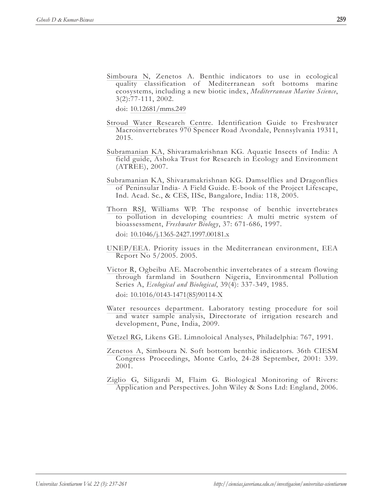<span id="page-22-0"></span>[Simboura N,](#page-1-0) Zenetos A. Benthic indicators to use in ecological quality classification of Mediterranean soft bottoms marine ecosystems, including a new biotic index, *Mediterranean Marine Science*, 3(2):77-111, 2002.

doi: [10.12681/mms.249](http://doi.org/10.12681/mms.249)

- [Stroud Water Research Centre.](#page-7-0) Identification Guide to Freshwater Macroinvertebrates 970 Spencer Road Avondale, Pennsylvania 19311, 2015.
- [Subramanian KA,](#page-7-0) Shivaramakrishnan KG. Aquatic Insects of India: A field guide, Ashoka Trust for Research in Ecology and Environment (ATREE), 2007.
- [Subramanian KA,](#page-7-0) Shivaramakrishnan KG. Damselflies and Dragonflies of Peninsular India- A Field Guide. E-book of the Project Lifescape, Ind. Acad. Sc., & CES, IISc, Bangalore, India: 118, 2005.
- [Thorn RSJ,](#page-1-0) Williams WP. The response of benthic invertebrates to pollution in developing countries: A multi metric system of bioassessment, *Freshwater Biology*, 37: 671-686, 1997. doi: [10.1046/j.1365-2427.1997.00181.x](http://doi.org/10.1046/j.1365-2427.1997.00181.x)
- [UNEP/EEA.](#page-1-0) Priority issues in the Mediterranean environment, EEA Report No 5/2005. 2005.
- [Victor R,](#page-1-0) Ogbeibu AE. Macrobenthic invertebrates of a stream flowing through farmland in Southern Nigeria, Environmental Pollution Series A, *Ecological and Biological*, 39(4): 337-349, 1985. doi: [10.1016/0143-1471\(85\)90114-X](http://doi.org/10.1016/0143-1471(85)90114-X)
- [Water resources department.](#page-1-0) Laboratory testing procedure for soil and water sample analysis, Directorate of irrigation research and development, Pune, India, 2009.
- [Wetzel RG,](#page-5-0) Likens GE. Limnoloical Analyses, Philadelphia: 767, 1991.
- [Zenetos A,](#page-1-0) Simboura N. Soft bottom benthic indicators. 36th CIESM Congress Proceedings, Monte Carlo, 24-28 September, 2001: 339. 2001.
- [Ziglio G,](#page-0-0) Siligardi M, Flaim G. Biological Monitoring of Rivers: Application and Perspectives. John Wiley & Sons Ltd: England, 2006.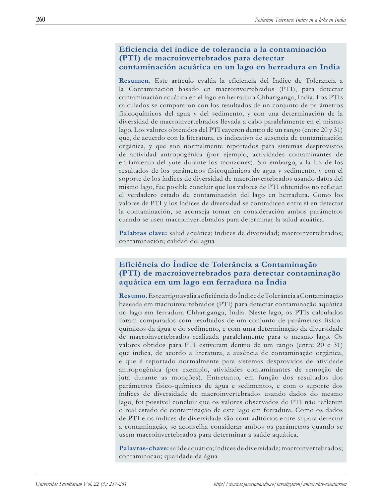## **Eficiencia del índice de tolerancia a la contaminación (PTI) de macroinvertebrados para detectar contaminación acuática en un lago en herradura en India**

**Resumen.** Este artículo evalúa la eficiencia del Índice de Tolerancia a la Contaminación basado en macroinvertebrados (PTI), para detectar contaminación acuática en el lago en herradura Chhariganga, India. Los PTIs calculados se compararon con los resultados de un conjunto de parámetros fisicoquímicos del agua y del sedimento, y con una determinación de la diversidad de macroinvertebrados llevada a cabo paralelamente en el mismo lago. Los valores obtenidos del PTI cayeron dentro de un rango (entre 20 y 31) que, de acuerdo con la literatura, es indicativo de ausencia de contaminación orgánica, y que son normalmente reportados para sistemas desprovistos de actividad antropogénica (por ejemplo, actividades contaminantes de enriamiento del yute durante los monzones). Sin embargo, a la luz de los resultados de los parámetros fisicoquímicos de agua y sedimento, y con el soporte de los índices de diversidad de macroinvertebrados usando datos del mismo lago, fue posible concluir que los valores de PTI obtenidos no reflejan el verdadero estado de contaminación del lago en herradura. Como los valores de PTI y los índices de diversidad se contradicen entre sí en detectar la contaminación, se aconseja tomar en consideración ambos parámetros cuando se usen macroinvertebrados para determinar la salud acuática.

**Palabras clave:** salud acuática; índices de diversidad; macroinvertebrados; contaminación; calidad del agua

## **Eficiência do Índice de Tolerância a Contaminação (PTI) de macroinvertebrados para detectar contaminação aquática em um lago em ferradura na Índia**

**Resumo.** Este artigo avalia a eficiência do Índice de Tolerância a Contaminação baseada em macroinvertebrados (PTI) para detectar contaminação aquática no lago em ferradura Chhariganga, Índia. Neste lago, os PTIs calculados foram comparados com resultados de um conjunto de parâmetros físicoquímicos da água e do sedimento, e com uma determinação da diversidade de macroinvertebrados realizada paralelamente para o mesmo lago. Os valores obtidos para PTI estiveram dentro de um rango (entre 20 e 31) que indica, de acordo a literatura, a ausência de contaminação orgânica, e que é reportado normalmente para sistemas desprovidos de atividade antropogênica (por exemplo, atividades contaminantes de remoção de juta durante as monções). Entretanto, em função dos resultados dos parâmetros físico-químicos de água e sedimentos, e com o suporte dos índices de diversidade de macroinvertebrados usando dados do mesmo lago, foi possível concluir que os valores observados de PTI não refletem o real estado de contaminação de este lago em ferradura. Como os dados de PTI e os índices de diversidade são contraditórios entre si para detectar a contaminação, se aconselha considerar ambos os parâmetros quando se usem macroinvertebrados para determinar a saúde aquática.

**Palavras-chave:**saúde aquática; índices de diversidade; macroinvertebrados; contaminacao; qualidade da água